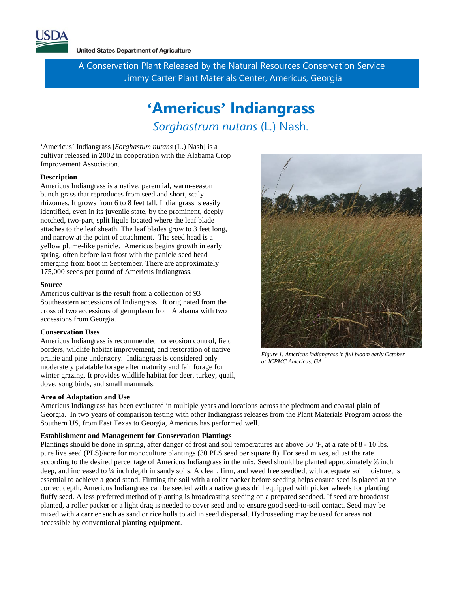

A Conservation Plant Released by the Natural Resources Conservation Service Jimmy Carter Plant Materials Center, Americus, Georgia

# **'Americus' Indiangrass** *Sorghastrum nutans* (L*.*) Nash*.*

'Americus' Indiangrass [*Sorghastum nutans* (L.) Nash] is a cultivar released in 2002 in cooperation with the Alabama Crop Improvement Association.

### **Description**

Americus Indiangrass is a native, perennial, warm-season bunch grass that reproduces from seed and short, scaly rhizomes. It grows from 6 to 8 feet tall. Indiangrass is easily identified, even in its juvenile state, by the prominent, deeply notched, two-part, split ligule located where the leaf blade attaches to the leaf sheath. The leaf blades grow to 3 feet long, and narrow at the point of attachment. The seed head is a yellow plume-like panicle. Americus begins growth in early spring, often before last frost with the panicle seed head emerging from boot in September. There are approximately 175,000 seeds per pound of Americus Indiangrass.

#### **Source**

Americus cultivar is the result from a collection of 93 Southeastern accessions of Indiangrass. It originated from the cross of two accessions of germplasm from Alabama with two accessions from Georgia.

#### **Conservation Uses**

Americus Indiangrass is recommended for erosion control, field borders, wildlife habitat improvement, and restoration of native prairie and pine understory. Indiangrass is considered only moderately palatable forage after maturity and fair forage for winter grazing. It provides wildlife habitat for deer, turkey, quail, dove, song birds, and small mammals.

#### **Area of Adaptation and Use**

Americus Indiangrass has been evaluated in multiple years and locations across the piedmont and coastal plain of Georgia. In two years of comparison testing with other Indiangrass releases from the Plant Materials Program across the Southern US, from East Texas to Georgia, Americus has performed well.

#### **Establishment and Management for Conservation Plantings**

Plantings should be done in spring, after danger of frost and soil temperatures are above 50 °F, at a rate of 8 - 10 lbs. pure live seed (PLS)/acre for monoculture plantings (30 PLS seed per square ft). For seed mixes, adjust the rate according to the desired percentage of Americus Indiangrass in the mix. Seed should be planted approximately ⅛ inch deep, and increased to ¼ inch depth in sandy soils. A clean, firm, and weed free seedbed, with adequate soil moisture, is essential to achieve a good stand. Firming the soil with a roller packer before seeding helps ensure seed is placed at the correct depth. Americus Indiangrass can be seeded with a native grass drill equipped with picker wheels for planting fluffy seed. A less preferred method of planting is broadcasting seeding on a prepared seedbed. If seed are broadcast planted, a roller packer or a light drag is needed to cover seed and to ensure good seed-to-soil contact. Seed may be mixed with a carrier such as sand or rice hulls to aid in seed dispersal. Hydroseeding may be used for areas not accessible by conventional planting equipment.



*Figure 1. Americus Indiangrass in full bloom early October at JCPMC Americus, GA*